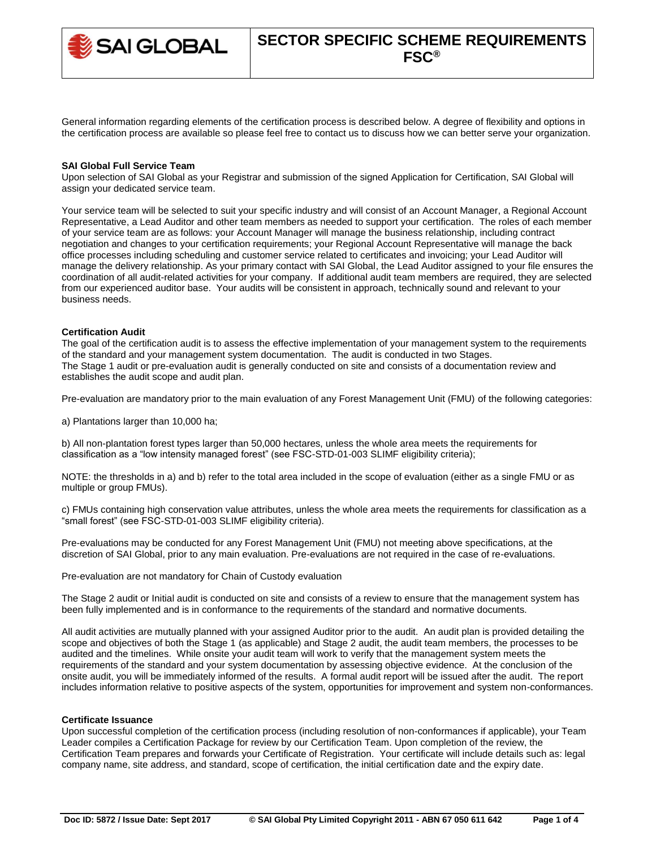

General information regarding elements of the certification process is described below. A degree of flexibility and options in the certification process are available so please feel free to contact us to discuss how we can better serve your organization.

## **SAI Global Full Service Team**

Upon selection of SAI Global as your Registrar and submission of the signed Application for Certification, SAI Global will assign your dedicated service team.

Your service team will be selected to suit your specific industry and will consist of an Account Manager, a Regional Account Representative, a Lead Auditor and other team members as needed to support your certification. The roles of each member of your service team are as follows: your Account Manager will manage the business relationship, including contract negotiation and changes to your certification requirements; your Regional Account Representative will manage the back office processes including scheduling and customer service related to certificates and invoicing; your Lead Auditor will manage the delivery relationship. As your primary contact with SAI Global, the Lead Auditor assigned to your file ensures the coordination of all audit-related activities for your company. If additional audit team members are required, they are selected from our experienced auditor base. Your audits will be consistent in approach, technically sound and relevant to your business needs.

## **Certification Audit**

The goal of the certification audit is to assess the effective implementation of your management system to the requirements of the standard and your management system documentation. The audit is conducted in two Stages. The Stage 1 audit or pre-evaluation audit is generally conducted on site and consists of a documentation review and establishes the audit scope and audit plan.

Pre-evaluation are mandatory prior to the main evaluation of any Forest Management Unit (FMU) of the following categories:

a) Plantations larger than 10,000 ha;

b) All non-plantation forest types larger than 50,000 hectares, unless the whole area meets the requirements for classification as a "low intensity managed forest" (see FSC-STD-01-003 SLIMF eligibility criteria);

NOTE: the thresholds in a) and b) refer to the total area included in the scope of evaluation (either as a single FMU or as multiple or group FMUs).

c) FMUs containing high conservation value attributes, unless the whole area meets the requirements for classification as a "small forest" (see FSC-STD-01-003 SLIMF eligibility criteria).

Pre-evaluations may be conducted for any Forest Management Unit (FMU) not meeting above specifications, at the discretion of SAI Global, prior to any main evaluation. Pre-evaluations are not required in the case of re-evaluations.

Pre-evaluation are not mandatory for Chain of Custody evaluation

The Stage 2 audit or Initial audit is conducted on site and consists of a review to ensure that the management system has been fully implemented and is in conformance to the requirements of the standard and normative documents.

All audit activities are mutually planned with your assigned Auditor prior to the audit. An audit plan is provided detailing the scope and objectives of both the Stage 1 (as applicable) and Stage 2 audit, the audit team members, the processes to be audited and the timelines. While onsite your audit team will work to verify that the management system meets the requirements of the standard and your system documentation by assessing objective evidence. At the conclusion of the onsite audit, you will be immediately informed of the results. A formal audit report will be issued after the audit. The report includes information relative to positive aspects of the system, opportunities for improvement and system non-conformances.

### **Certificate Issuance**

Upon successful completion of the certification process (including resolution of non-conformances if applicable), your Team Leader compiles a Certification Package for review by our Certification Team. Upon completion of the review, the Certification Team prepares and forwards your Certificate of Registration. Your certificate will include details such as: legal company name, site address, and standard, scope of certification, the initial certification date and the expiry date.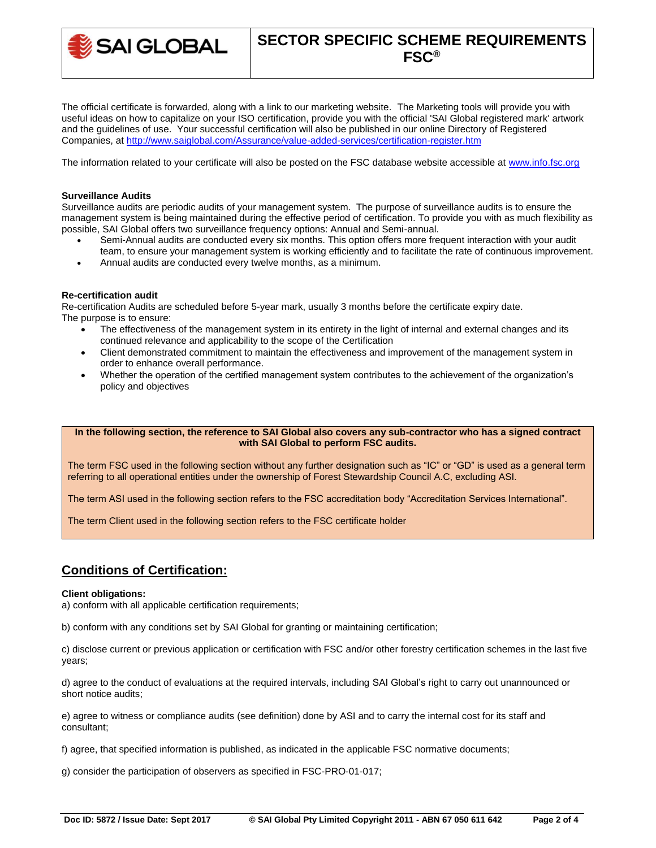**SECTOR SPECIFIC SCHEME REQUIREMENTS FSC®**

The official certificate is forwarded, along with a link to our marketing website. The Marketing tools will provide you with useful ideas on how to capitalize on your ISO certification, provide you with the official 'SAI Global registered mark' artwork and the guidelines of use. Your successful certification will also be published in our online Directory of Registered Companies, at<http://www.saiglobal.com/Assurance/value-added-services/certification-register.htm>

The information related to your certificate will also be posted on the FSC database website accessible at [www.info.fsc.org](http://www.info.fsc.org/)

## **Surveillance Audits**

SAI GLOBAL

Surveillance audits are periodic audits of your management system. The purpose of surveillance audits is to ensure the management system is being maintained during the effective period of certification. To provide you with as much flexibility as possible, SAI Global offers two surveillance frequency options: Annual and Semi-annual.

- Semi-Annual audits are conducted every six months. This option offers more frequent interaction with your audit team, to ensure your management system is working efficiently and to facilitate the rate of continuous improvement.
- Annual audits are conducted every twelve months, as a minimum.

## **Re-certification audit**

Re-certification Audits are scheduled before 5-year mark, usually 3 months before the certificate expiry date. The purpose is to ensure:

- The effectiveness of the management system in its entirety in the light of internal and external changes and its continued relevance and applicability to the scope of the Certification
- Client demonstrated commitment to maintain the effectiveness and improvement of the management system in order to enhance overall performance.
- Whether the operation of the certified management system contributes to the achievement of the organization's policy and objectives

## **In the following section, the reference to SAI Global also covers any sub-contractor who has a signed contract with SAI Global to perform FSC audits.**

The term FSC used in the following section without any further designation such as "IC" or "GD" is used as a general term referring to all operational entities under the ownership of Forest Stewardship Council A.C, excluding ASI.

The term ASI used in the following section refers to the FSC accreditation body "Accreditation Services International".

The term Client used in the following section refers to the FSC certificate holder

# **Conditions of Certification:**

# **Client obligations:**

a) conform with all applicable certification requirements;

b) conform with any conditions set by SAI Global for granting or maintaining certification;

c) disclose current or previous application or certification with FSC and/or other forestry certification schemes in the last five years;

d) agree to the conduct of evaluations at the required intervals, including SAI Global's right to carry out unannounced or short notice audits;

e) agree to witness or compliance audits (see definition) done by ASI and to carry the internal cost for its staff and consultant;

f) agree, that specified information is published, as indicated in the applicable FSC normative documents;

g) consider the participation of observers as specified in FSC-PRO-01-017;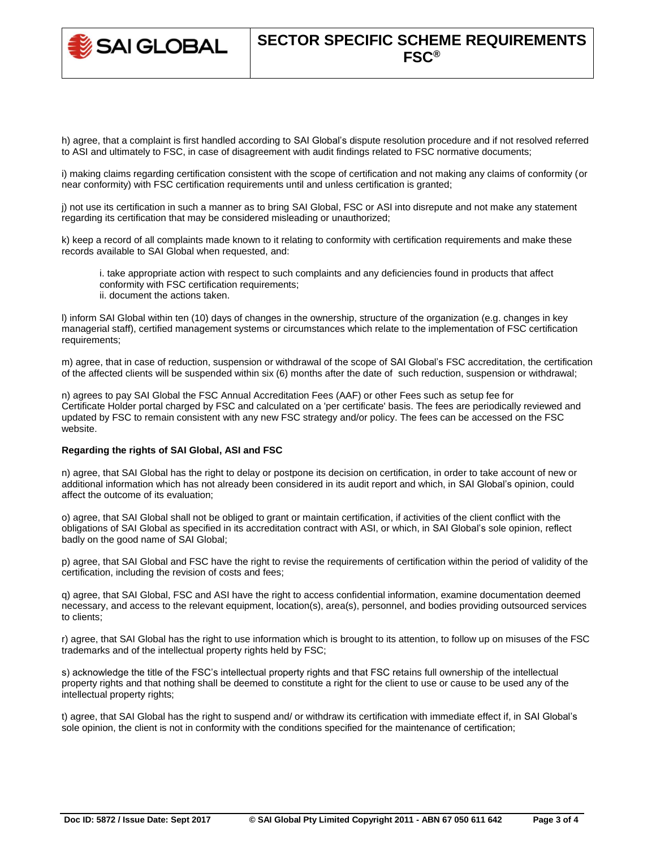**SECTOR SPECIFIC SCHEME REQUIREMENTS FSC®**

h) agree, that a complaint is first handled according to SAI Global's dispute resolution procedure and if not resolved referred to ASI and ultimately to FSC, in case of disagreement with audit findings related to FSC normative documents;

i) making claims regarding certification consistent with the scope of certification and not making any claims of conformity (or near conformity) with FSC certification requirements until and unless certification is granted;

j) not use its certification in such a manner as to bring SAI Global, FSC or ASI into disrepute and not make any statement regarding its certification that may be considered misleading or unauthorized;

k) keep a record of all complaints made known to it relating to conformity with certification requirements and make these records available to SAI Global when requested, and:

i. take appropriate action with respect to such complaints and any deficiencies found in products that affect conformity with FSC certification requirements; ii. document the actions taken.

l) inform SAI Global within ten (10) days of changes in the ownership, structure of the organization (e.g. changes in key managerial staff), certified management systems or circumstances which relate to the implementation of FSC certification requirements;

m) agree, that in case of reduction, suspension or withdrawal of the scope of SAI Global's FSC accreditation, the certification of the affected clients will be suspended within six (6) months after the date of such reduction, suspension or withdrawal;

n) agrees to pay SAI Global the FSC Annual Accreditation Fees (AAF) or other Fees such as setup fee for Certificate Holder portal charged by FSC and calculated on a 'per certificate' basis. The fees are periodically reviewed and updated by FSC to remain consistent with any new FSC strategy and/or policy. The fees can be accessed on the FSC website.

### **Regarding the rights of SAI Global, ASI and FSC**

SAI GLOBAL

n) agree, that SAI Global has the right to delay or postpone its decision on certification, in order to take account of new or additional information which has not already been considered in its audit report and which, in SAI Global's opinion, could affect the outcome of its evaluation;

o) agree, that SAI Global shall not be obliged to grant or maintain certification, if activities of the client conflict with the obligations of SAI Global as specified in its accreditation contract with ASI, or which, in SAI Global's sole opinion, reflect badly on the good name of SAI Global;

p) agree, that SAI Global and FSC have the right to revise the requirements of certification within the period of validity of the certification, including the revision of costs and fees;

q) agree, that SAI Global, FSC and ASI have the right to access confidential information, examine documentation deemed necessary, and access to the relevant equipment, location(s), area(s), personnel, and bodies providing outsourced services to clients;

r) agree, that SAI Global has the right to use information which is brought to its attention, to follow up on misuses of the FSC trademarks and of the intellectual property rights held by FSC;

s) acknowledge the title of the FSC's intellectual property rights and that FSC retains full ownership of the intellectual property rights and that nothing shall be deemed to constitute a right for the client to use or cause to be used any of the intellectual property rights;

t) agree, that SAI Global has the right to suspend and/ or withdraw its certification with immediate effect if, in SAI Global's sole opinion, the client is not in conformity with the conditions specified for the maintenance of certification;